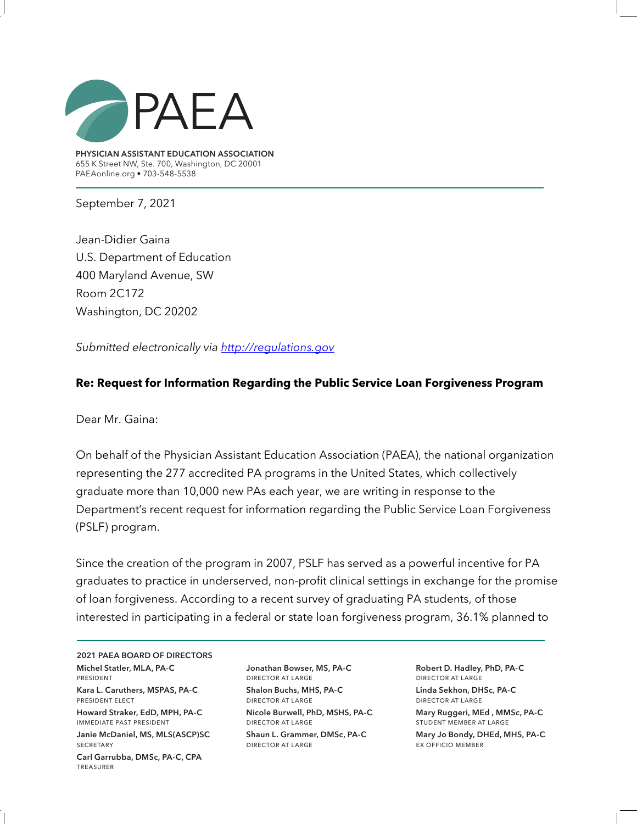

**PHYSICIAN ASSISTANT EDUCATION ASSOCIATION** 655 K Street NW, Ste. 700, Washington, DC 20001 PAEAonline.org • 703-548-5538

September 7, 2021

Jean-Didier Gaina U.S. Department of Education 400 Maryland Avenue, SW Room 2C172 Washington, DC 20202

*Submitted electronically via http://regulations.gov*

#### **Re: Request for Information Regarding the Public Service Loan Forgiveness Program**

Dear Mr. Gaina:

On behalf of the Physician Assistant Education Association (PAEA), the national organization representing the 277 accredited PA programs in the United States, which collectively graduate more than 10,000 new PAs each year, we are writing in response to the Department's recent request for information regarding the Public Service Loan Forgiveness (PSLF) program.

Since the creation of the program in 2007, PSLF has served as a powerful incentive for PA graduates to practice in underserved, non-profit clinical settings in exchange for the promise of loan forgiveness. According to a recent survey of graduating PA students, of those interested in participating in a federal or state loan forgiveness program, 36.1% planned to

**2021 PAEA BOARD OF DIRECTORS Michel Statler, MLA, PA-C**  president

**Kara L. Caruthers, MSPAS, PA-C** president elect

**Howard Straker, EdD, MPH, PA-C** immediate past president

**Janie McDaniel, MS, MLS(ASCP)SC SECRETARY** 

**Carl Garrubba, DMSc, PA-C, CPA**  treasurer

**Jonathan Bowser, MS, PA-C** director at large **Shalon Buchs, MHS, PA-C** director at large

**Nicole Burwell, PhD, MSHS, PA-C** director at large **Shaun L. Grammer, DMSc, PA-C** director at large

**Robert D. Hadley, PhD, PA-C** director at large **Linda Sekhon, DHSc, PA-C**  director at large

**Mary Ruggeri, MEd , MMSc, PA-C**  student member at large

**Mary Jo Bondy, DHEd, MHS, PA-C** ex officio member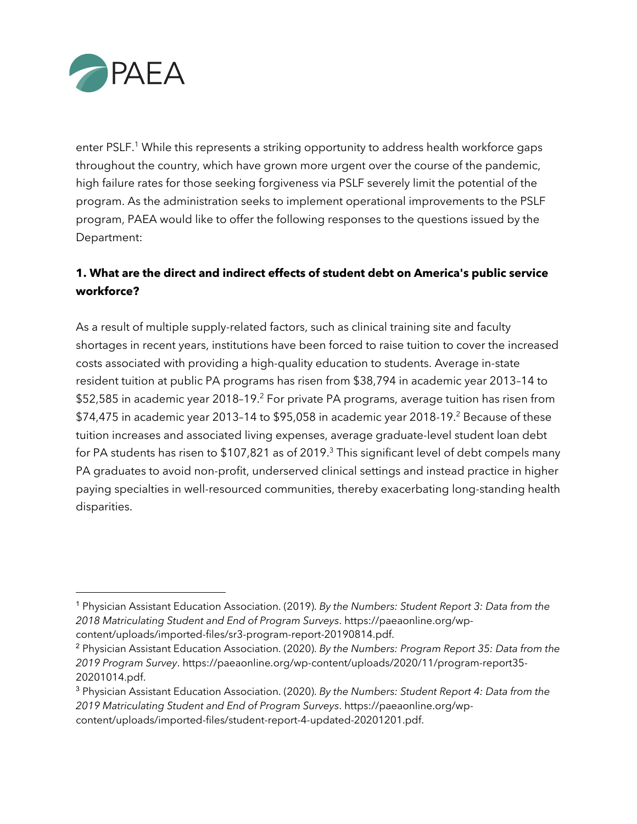

enter PSLF.<sup>1</sup> While this represents a striking opportunity to address health workforce gaps throughout the country, which have grown more urgent over the course of the pandemic, high failure rates for those seeking forgiveness via PSLF severely limit the potential of the program. As the administration seeks to implement operational improvements to the PSLF program, PAEA would like to offer the following responses to the questions issued by the Department:

## **1. What are the direct and indirect effects of student debt on America's public service workforce?**

As a result of multiple supply-related factors, such as clinical training site and faculty shortages in recent years, institutions have been forced to raise tuition to cover the increased costs associated with providing a high-quality education to students. Average in-state resident tuition at public PA programs has risen from \$38,794 in academic year 2013–14 to \$52,585 in academic year 2018-19.<sup>2</sup> For private PA programs, average tuition has risen from  $$74,475$  in academic year 2013-14 to  $$95,058$  in academic year 2018-19.<sup>2</sup> Because of these tuition increases and associated living expenses, average graduate-level student loan debt for PA students has risen to \$107,821 as of 2019.<sup>3</sup> This significant level of debt compels many PA graduates to avoid non-profit, underserved clinical settings and instead practice in higher paying specialties in well-resourced communities, thereby exacerbating long-standing health disparities.

<sup>1</sup> Physician Assistant Education Association. (2019). *By the Numbers: Student Report 3: Data from the 2018 Matriculating Student and End of Program Surveys*. https://paeaonline.org/wp-

content/uploads/imported-files/sr3-program-report-20190814.pdf.

<sup>2</sup> Physician Assistant Education Association. (2020). *By the Numbers: Program Report 35: Data from the 2019 Program Survey*. https://paeaonline.org/wp-content/uploads/2020/11/program-report35- 20201014.pdf.

<sup>3</sup> Physician Assistant Education Association. (2020). *By the Numbers: Student Report 4: Data from the 2019 Matriculating Student and End of Program Surveys*. https://paeaonline.org/wpcontent/uploads/imported-files/student-report-4-updated-20201201.pdf.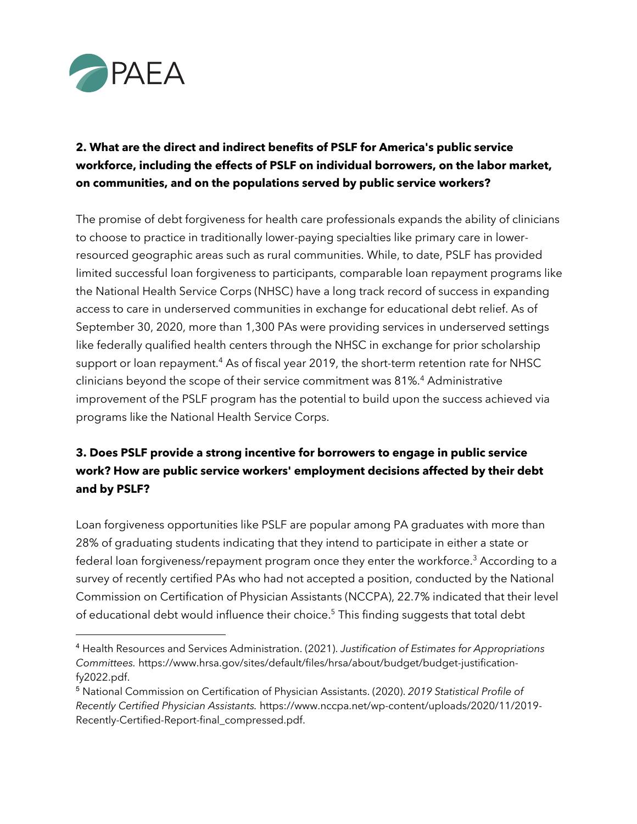

# **2. What are the direct and indirect benefits of PSLF for America's public service workforce, including the effects of PSLF on individual borrowers, on the labor market, on communities, and on the populations served by public service workers?**

The promise of debt forgiveness for health care professionals expands the ability of clinicians to choose to practice in traditionally lower-paying specialties like primary care in lowerresourced geographic areas such as rural communities. While, to date, PSLF has provided limited successful loan forgiveness to participants, comparable loan repayment programs like the National Health Service Corps (NHSC) have a long track record of success in expanding access to care in underserved communities in exchange for educational debt relief. As of September 30, 2020, more than 1,300 PAs were providing services in underserved settings like federally qualified health centers through the NHSC in exchange for prior scholarship support or loan repayment.<sup>4</sup> As of fiscal year 2019, the short-term retention rate for NHSC clinicians beyond the scope of their service commitment was 81%.4 Administrative improvement of the PSLF program has the potential to build upon the success achieved via programs like the National Health Service Corps.

# **3. Does PSLF provide a strong incentive for borrowers to engage in public service work? How are public service workers' employment decisions affected by their debt and by PSLF?**

Loan forgiveness opportunities like PSLF are popular among PA graduates with more than 28% of graduating students indicating that they intend to participate in either a state or federal loan forgiveness/repayment program once they enter the workforce.<sup>3</sup> According to a survey of recently certified PAs who had not accepted a position, conducted by the National Commission on Certification of Physician Assistants (NCCPA), 22.7% indicated that their level of educational debt would influence their choice.<sup>5</sup> This finding suggests that total debt

<sup>4</sup> Health Resources and Services Administration. (2021). *Justification of Estimates for Appropriations Committees.* https://www.hrsa.gov/sites/default/files/hrsa/about/budget/budget-justificationfy2022.pdf.

<sup>5</sup> National Commission on Certification of Physician Assistants. (2020). *2019 Statistical Profile of Recently Certified Physician Assistants.* https://www.nccpa.net/wp-content/uploads/2020/11/2019- Recently-Certified-Report-final\_compressed.pdf.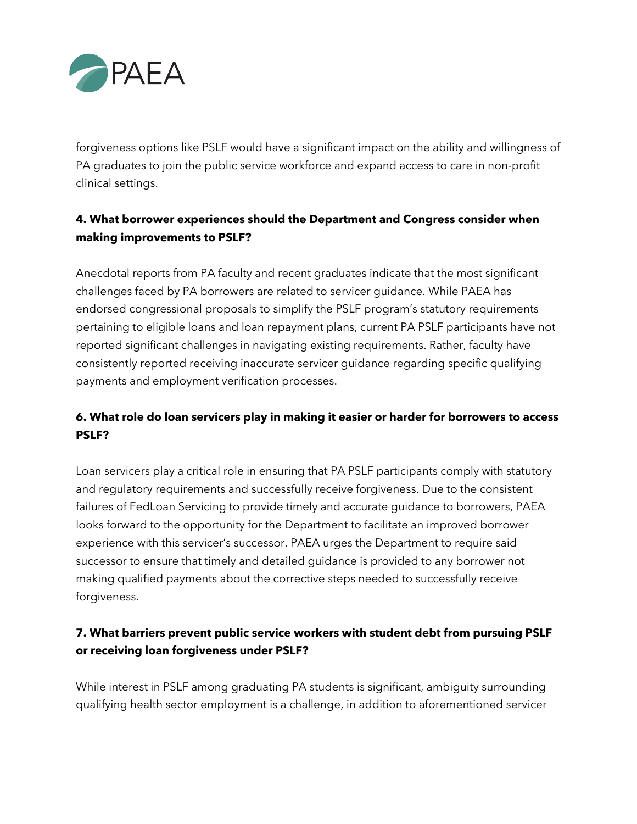

forgiveness options like PSLF would have a significant impact on the ability and willingness of PA graduates to join the public service workforce and expand access to care in non-profit clinical settings.

# **4. What borrower experiences should the Department and Congress consider when making improvements to PSLF?**

Anecdotal reports from PA faculty and recent graduates indicate that the most significant challenges faced by PA borrowers are related to servicer guidance. While PAEA has endorsed congressional proposals to simplify the PSLF program's statutory requirements pertaining to eligible loans and loan repayment plans, current PA PSLF participants have not reported significant challenges in navigating existing requirements. Rather, faculty have consistently reported receiving inaccurate servicer guidance regarding specific qualifying payments and employment verification processes.

### **6. What role do loan servicers play in making it easier or harder for borrowers to access PSLF?**

Loan servicers play a critical role in ensuring that PA PSLF participants comply with statutory and regulatory requirements and successfully receive forgiveness. Due to the consistent failures of FedLoan Servicing to provide timely and accurate guidance to borrowers, PAEA looks forward to the opportunity for the Department to facilitate an improved borrower experience with this servicer's successor. PAEA urges the Department to require said successor to ensure that timely and detailed guidance is provided to any borrower not making qualified payments about the corrective steps needed to successfully receive forgiveness.

## **7. What barriers prevent public service workers with student debt from pursuing PSLF or receiving loan forgiveness under PSLF?**

While interest in PSLF among graduating PA students is significant, ambiguity surrounding qualifying health sector employment is a challenge, in addition to aforementioned servicer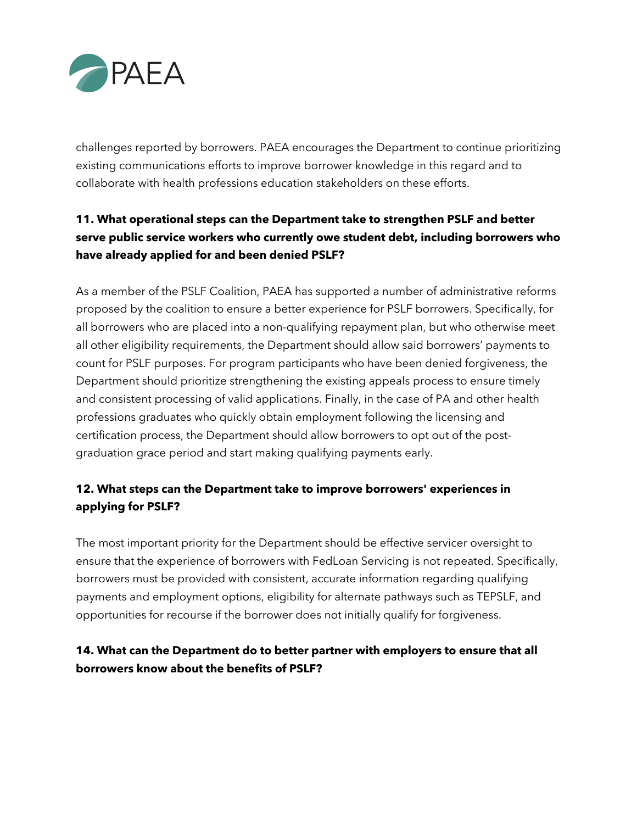

challenges reported by borrowers. PAEA encourages the Department to continue prioritizing existing communications efforts to improve borrower knowledge in this regard and to collaborate with health professions education stakeholders on these efforts.

# **11. What operational steps can the Department take to strengthen PSLF and better serve public service workers who currently owe student debt, including borrowers who have already applied for and been denied PSLF?**

As a member of the PSLF Coalition, PAEA has supported a number of administrative reforms proposed by the coalition to ensure a better experience for PSLF borrowers. Specifically, for all borrowers who are placed into a non-qualifying repayment plan, but who otherwise meet all other eligibility requirements, the Department should allow said borrowers' payments to count for PSLF purposes. For program participants who have been denied forgiveness, the Department should prioritize strengthening the existing appeals process to ensure timely and consistent processing of valid applications. Finally, in the case of PA and other health professions graduates who quickly obtain employment following the licensing and certification process, the Department should allow borrowers to opt out of the postgraduation grace period and start making qualifying payments early.

## **12. What steps can the Department take to improve borrowers' experiences in applying for PSLF?**

The most important priority for the Department should be effective servicer oversight to ensure that the experience of borrowers with FedLoan Servicing is not repeated. Specifically, borrowers must be provided with consistent, accurate information regarding qualifying payments and employment options, eligibility for alternate pathways such as TEPSLF, and opportunities for recourse if the borrower does not initially qualify for forgiveness.

## **14. What can the Department do to better partner with employers to ensure that all borrowers know about the benefits of PSLF?**